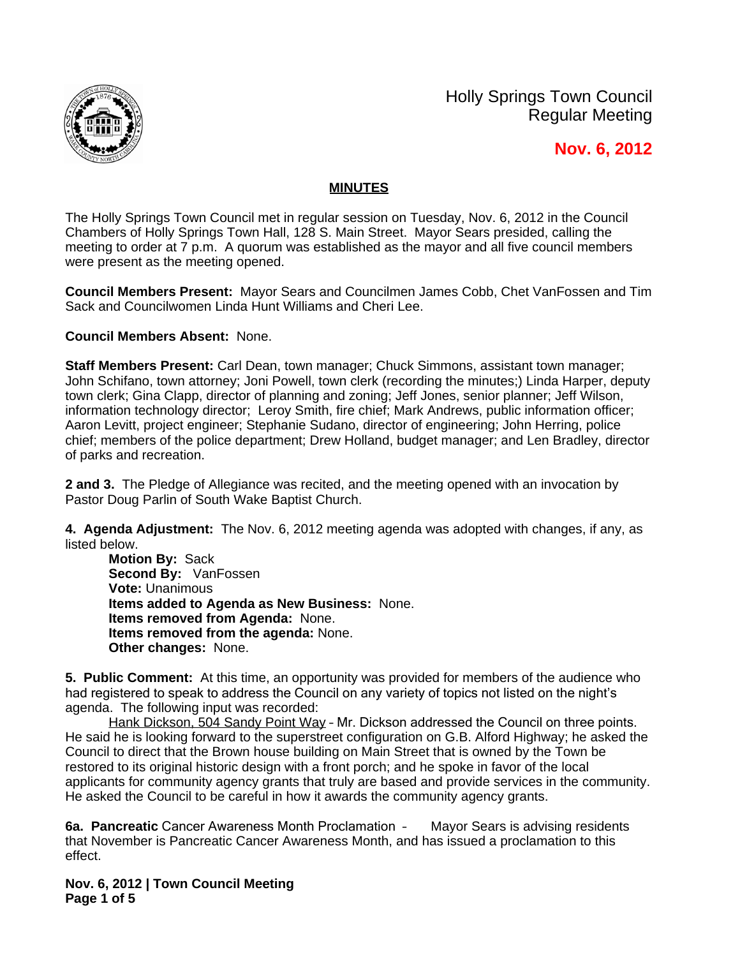

Holly Springs Town Council Regular Meeting

 **Nov. 6, 2012**

## **MINUTES**

The Holly Springs Town Council met in regular session on Tuesday, Nov. 6, 2012 in the Council Chambers of Holly Springs Town Hall, 128 S. Main Street. Mayor Sears presided, calling the meeting to order at 7 p.m. A quorum was established as the mayor and all five council members were present as the meeting opened.

**Council Members Present:** Mayor Sears and Councilmen James Cobb, Chet VanFossen and Tim Sack and Councilwomen Linda Hunt Williams and Cheri Lee.

**Council Members Absent:** None.

**Staff Members Present:** Carl Dean, town manager; Chuck Simmons, assistant town manager; John Schifano, town attorney; Joni Powell, town clerk (recording the minutes;) Linda Harper, deputy town clerk; Gina Clapp, director of planning and zoning; Jeff Jones, senior planner; Jeff Wilson, information technology director; Leroy Smith, fire chief; Mark Andrews, public information officer; Aaron Levitt, project engineer; Stephanie Sudano, director of engineering; John Herring, police chief; members of the police department; Drew Holland, budget manager; and Len Bradley, director of parks and recreation.

**2 and 3.** The Pledge of Allegiance was recited, and the meeting opened with an invocation by Pastor Doug Parlin of South Wake Baptist Church.

**4. Agenda Adjustment:** The Nov. 6, 2012 meeting agenda was adopted with changes, if any, as listed below.

**Motion By:** Sack **Second By:** VanFossen **Vote:** Unanimous **Items added to Agenda as New Business:** None. **Items removed from Agenda:** None. **Items removed from the agenda:** None. **Other changes:** None.

**5. Public Comment:** At this time, an opportunity was provided for members of the audience who had registered to speak to address the Council on any variety of topics not listed on the night's agenda. The following input was recorded:

Hank Dickson, 504 Sandy Point Way - Mr. Dickson addressed the Council on three points. He said he is looking forward to the superstreet configuration on G.B. Alford Highway; he asked the Council to direct that the Brown house building on Main Street that is owned by the Town be restored to its original historic design with a front porch; and he spoke in favor of the local applicants for community agency grants that truly are based and provide services in the community. He asked the Council to be careful in how it awards the community agency grants.

**6a. Pancreatic** Cancer Awareness Month Proclamation – Mayor Sears is advising residents that November is Pancreatic Cancer Awareness Month, and has issued a proclamation to this effect.

**Nov. 6, 2012 | Town Council Meeting Page 1 of 5**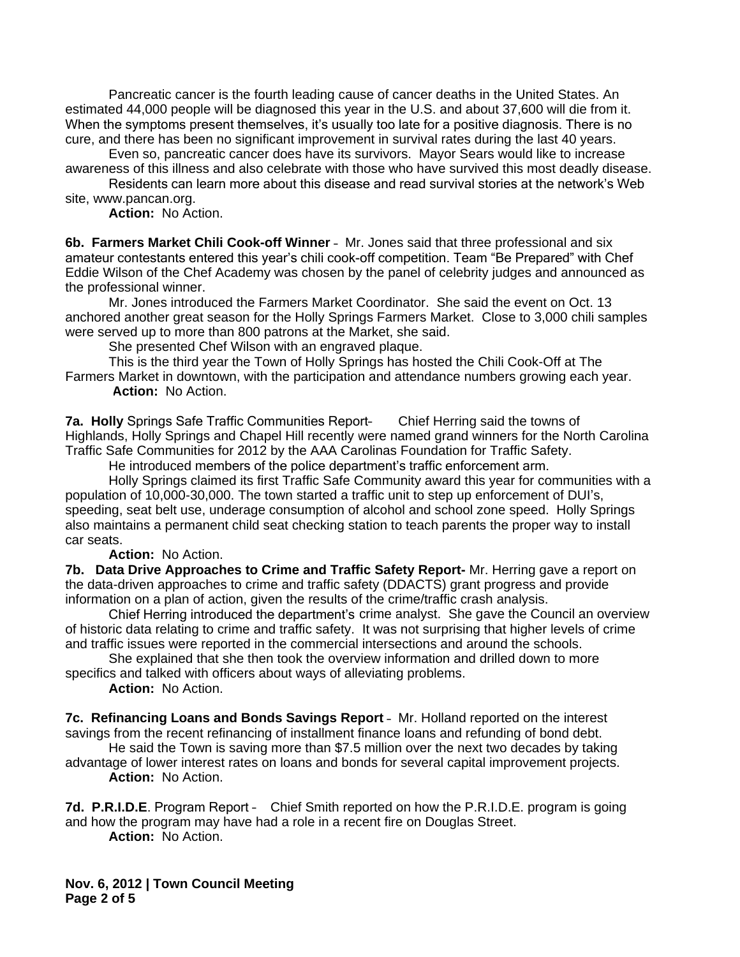Pancreatic cancer is the fourth leading cause of cancer deaths in the United States. An estimated 44,000 people will be diagnosed this year in the U.S. and about 37,600 will die from it. When the symptoms present themselves, it's usually too late for a positive diagnosis. There is no cure, and there has been no significant improvement in survival rates during the last 40 years.

Even so, pancreatic cancer does have its survivors. Mayor Sears would like to increase awareness of this illness and also celebrate with those who have survived this most deadly disease.

Residents can learn more about this disease and read survival stories at the network's Web site, www.pancan.org.

**Action:** No Action.

**6b. Farmers Market Chili Cook-off Winner** – Mr. Jones said that three professional and six amateur contestants entered this year's chili cook-off competition. Team "Be Prepared" with Chef Eddie Wilson of the Chef Academy was chosen by the panel of celebrity judges and announced as the professional winner.

Mr. Jones introduced the Farmers Market Coordinator. She said the event on Oct. 13 anchored another great season for the Holly Springs Farmers Market. Close to 3,000 chili samples were served up to more than 800 patrons at the Market, she said.

She presented Chef Wilson with an engraved plaque.

This is the third year the Town of Holly Springs has hosted the Chili Cook-Off at The Farmers Market in downtown, with the participation and attendance numbers growing each year. **Action:** No Action.

**7a. Holly** Springs Safe Traffic Communities Report– Chief Herring said the towns of Highlands, Holly Springs and Chapel Hill recently were named grand winners for the North Carolina Traffic Safe Communities for 2012 by the AAA Carolinas Foundation for Traffic Safety.

He introduced members of the police department's traffic enforcement arm.

Holly Springs claimed its first Traffic Safe Community award this year for communities with a population of 10,000-30,000. The town started a traffic unit to step up enforcement of DUI's, speeding, seat belt use, underage consumption of alcohol and school zone speed. Holly Springs also maintains a permanent child seat checking station to teach parents the proper way to install car seats.

**Action:** No Action.

**7b. Data Drive Approaches to Crime and Traffic Safety Report-** Mr. Herring gave a report on the data-driven approaches to crime and traffic safety (DDACTS) grant progress and provide information on a plan of action, given the results of the crime/traffic crash analysis.

Chief Herring introduced the department's crime analyst. She gave the Council an overview of historic data relating to crime and traffic safety. It was not surprising that higher levels of crime and traffic issues were reported in the commercial intersections and around the schools.

She explained that she then took the overview information and drilled down to more specifics and talked with officers about ways of alleviating problems.

**Action:** No Action.

**7c. Refinancing Loans and Bonds Savings Report** – Mr. Holland reported on the interest savings from the recent refinancing of installment finance loans and refunding of bond debt.

He said the Town is saving more than \$7.5 million over the next two decades by taking advantage of lower interest rates on loans and bonds for several capital improvement projects.

**Action:** No Action.

**7d. P.R.I.D.E**. Program Report – Chief Smith reported on how the P.R.I.D.E. program is going and how the program may have had a role in a recent fire on Douglas Street.

**Action:** No Action.

**Nov. 6, 2012 | Town Council Meeting Page 2 of 5**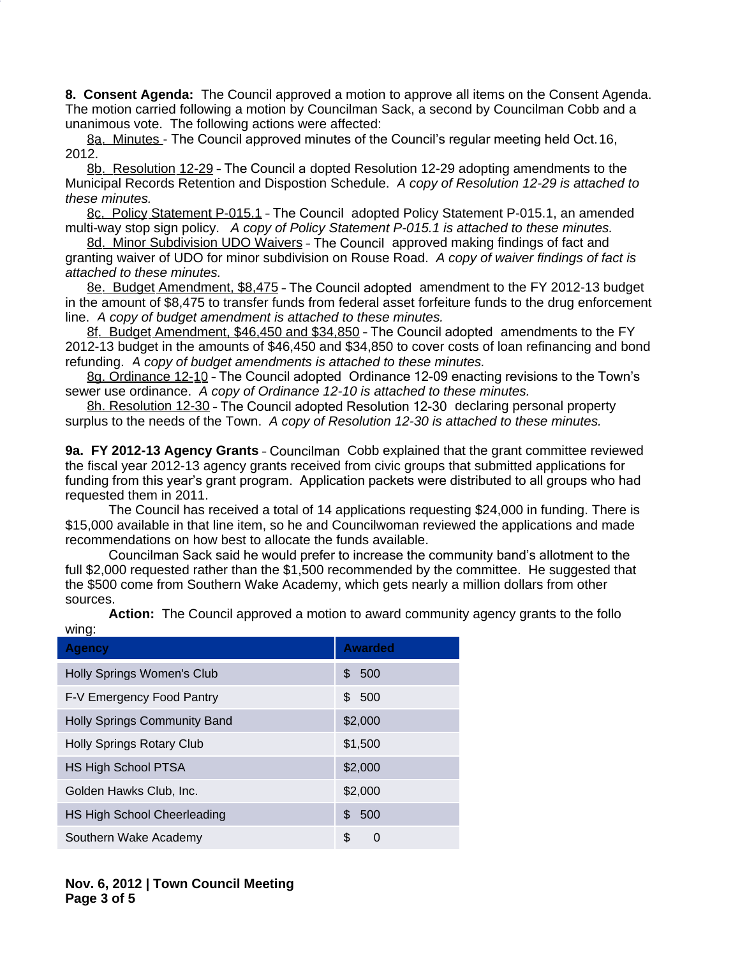**8. Consent Agenda:** The Council approved a motion to approve all items on the Consent Agenda. The motion carried following a motion by Councilman Sack, a second by Councilman Cobb and a unanimous vote. The following actions were affected:

8a. Minutes - The Council approved minutes of the Council's regular meeting held Oct. 16, 2012.

8b. Resolution 12-29 – The Council a dopted Resolution 12-29 adopting amendments to the Municipal Records Retention and Dispostion Schedule. *A copy of Resolution 12-29 is attached to these minutes.*

8c. Policy Statement P-015.1 - The Council adopted Policy Statement P-015.1, an amended multi-way stop sign policy. *A copy of Policy Statement P-015.1 is attached to these minutes.*

8d. Minor Subdivision UDO Waivers - The Council approved making findings of fact and granting waiver of UDO for minor subdivision on Rouse Road.*A copy of waiver findings of fact is attached to these minutes.*

8e. Budget Amendment, \$8,475 – The Council adopted amendment to the FY 2012-13 budget in the amount of \$8,475 to transfer funds from federal asset forfeiture funds to the drug enforcement line.*A copy of budget amendment is attached to these minutes.*

8f. Budget Amendment, \$46,450 and \$34,850 – The Council adopted amendments to the FY 2012-13 budget in the amounts of \$46,450 and \$34,850 to cover costs of loan refinancing and bond refunding.*A copy of budget amendments is attached to these minutes.*

8g. Ordinance 12-10 – The Council adopted Ordinance 12-09 enacting revisions to the Town's sewer use ordinance. *A copy of Ordinance 12-10 is attached to these minutes.*

8h. Resolution 12-30 – The Council adopted Resolution 12-30 declaring personal property surplus to the needs of the Town. *A copy of Resolution 12-30 is attached to these minutes.*

**9a. FY 2012-13 Agency Grants** – Councilman Cobb explained that the grant committee reviewed the fiscal year 2012-13 agency grants received from civic groups that submitted applications for funding from this year's grant program. Application packets were distributed to all groups who had requested them in 2011.

The Council has received a total of 14 applications requesting \$24,000 in funding. There is \$15,000 available in that line item, so he and Councilwoman reviewed the applications and made recommendations on how best to allocate the funds available.

Councilman Sack said he would prefer to increase the community band's allotment to the full \$2,000 requested rather than the \$1,500 recommended by the committee. He suggested that the \$500 come from Southern Wake Academy, which gets nearly a million dollars from other sources.

| <b>Agency</b>                      | <b>Awarded</b> |
|------------------------------------|----------------|
| Holly Springs Women's Club         | 500<br>\$      |
| F-V Emergency Food Pantry          | \$500          |
| Holly Springs Community Band       | \$2,000        |
| Holly Springs Rotary Club          | \$1,500        |
| <b>HS High School PTSA</b>         | \$2,000        |
| Golden Hawks Club, Inc.            | \$2,000        |
| <b>HS High School Cheerleading</b> | 500<br>\$      |
| Southern Wake Academy              | \$<br>0        |
|                                    |                |

**Action:** The Council approved a motion to award community agency grants to the follo wing: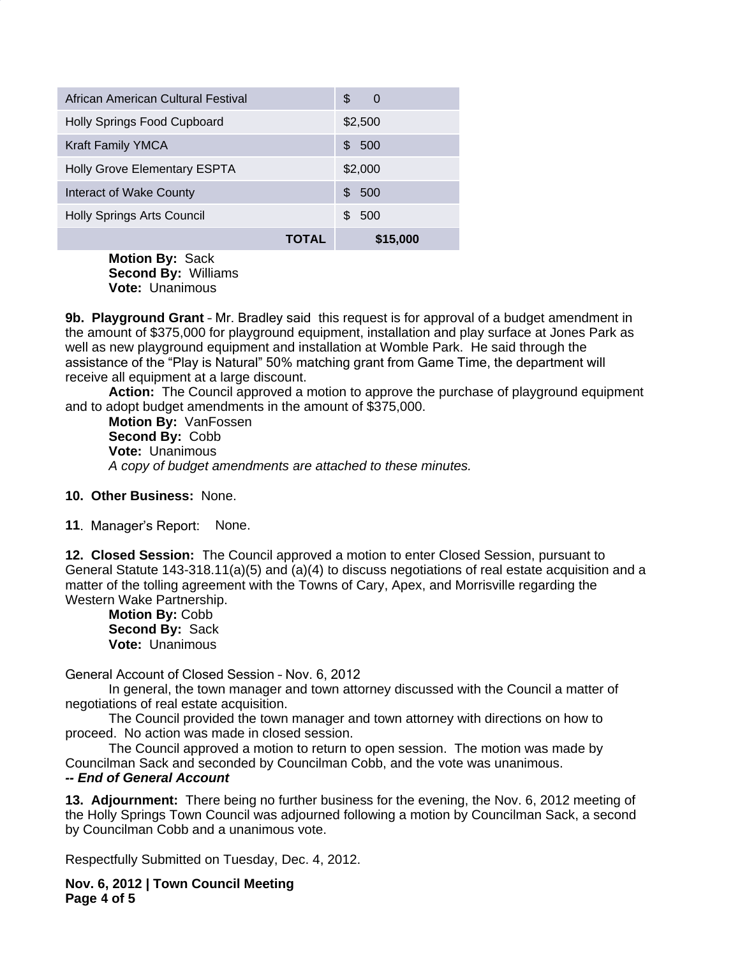| African American Cultural Festival  |       | S<br>0     |
|-------------------------------------|-------|------------|
| Holly Springs Food Cupboard         |       | \$2,500    |
| <b>Kraft Family YMCA</b>            |       | 500<br>\$. |
| <b>Holly Grove Elementary ESPTA</b> |       | \$2,000    |
| Interact of Wake County             |       | 500<br>\$. |
| <b>Holly Springs Arts Council</b>   |       | 500<br>SS. |
|                                     | TOTAL | \$15,000   |

**Motion By:** Sack **Second By:** Williams **Vote:** Unanimous

**9b. Playground Grant** – Mr. Bradley said this request is for approval of a budget amendment in the amount of \$375,000 for playground equipment, installation and play surface at Jones Park as well as new playground equipment and installation at Womble Park. He said through the assistance of the "Play is Natural" 50% matching grant from Game Time, the department will receive all equipment at a large discount.

**Action:** The Council approved a motion to approve the purchase of playground equipment and to adopt budget amendments in the amount of \$375,000.

**Motion By:** VanFossen **Second By:** Cobb **Vote:** Unanimous *A copy of budget amendments are attached to these minutes.*

## **10. Other Business:** None.

**11**. Manager's Report: None.

**12. Closed Session:** The Council approved a motion to enter Closed Session, pursuant to General Statute 143-318.11(a)(5) and (a)(4) to discuss negotiations of real estate acquisition and a matter of the tolling agreement with the Towns of Cary, Apex, and Morrisville regarding the Western Wake Partnership.

**Motion By:** Cobb **Second By:** Sack **Vote:** Unanimous

General Account of Closed Session – Nov. 6, 2012

In general, the town manager and town attorney discussed with the Council a matter of negotiations of real estate acquisition.

The Council provided the town manager and town attorney with directions on how to proceed. No action was made in closed session.

The Council approved a motion to return to open session. The motion was made by Councilman Sack and seconded by Councilman Cobb, and the vote was unanimous.

## *-- End of General Account*

**13. Adjournment:** There being no further business for the evening, the Nov. 6, 2012 meeting of the Holly Springs Town Council was adjourned following a motion by Councilman Sack, a second by Councilman Cobb and a unanimous vote.

Respectfully Submitted on Tuesday, Dec. 4, 2012.

**Nov. 6, 2012 | Town Council Meeting Page 4 of 5**